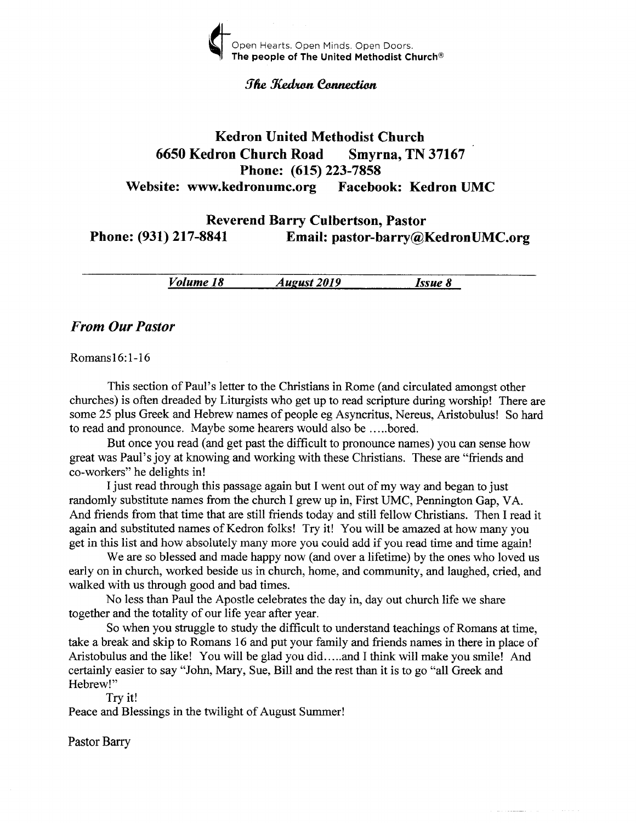

#### *The Kedron Connection*

# Kedron United Methodist Church <sup>6650</sup>Kedron Church Road Smyrna, TN <sup>37167</sup> Phone: (615) 223-7858 Website: www.kedronumc.org Facebook: Kedron UMC

Reverend Barry Culbertson, Pastor Phone: (931) 217-8841 Email: pastor-barry@KedronUMC.org

Volume 18 *August 2019* Issue 8

#### From Our Pastor

Romansl6:1-16

This section of Paul's letter to the Christians in Rome (and circulated amongst other churches) is often dreaded by Liturgists who get up to read scripture during worship! There are some 25 plus Greek and Hebrew names of people eg Asyncritus, Nereus, Aristobulus! So hard to read and pronounce. Maybe some hearers would also be .. ...bored.

But once you read (and get past the difficult to pronounce names) you can sense how great was Paul's joy at knowing and working with these Christians. These are "friends and co-workers" he delights in!

I just read through this passage again but I went out of my way and began to just randomly substitute names from the church I grew up in, First UMC, Pennington Gap, VA. And friends from that time that are still friends today and still fellow Christians. Then I read it again and substituted names of Kedron folks! Try it! You will be amazed at how many you get in this list and how absolutely many more you couid add if you read time and time again!

We are so blessed and made happy now (and over a lifetime) by the ones who loved us early on in church, worked beside us in church, home, and community, and laughed, cried, and walked with us through good and bad times.

No less than Paul the Apostle celebrates the day in, day out church life we share together and the totality of our life year after year.

So when you struggle to study the difficult to understand teachings of Romans at time, take a break and skip to Romans 16 and put your family and friends names in there in place of Aristobulus and the like! You will be glad you did.....and I think will make you smile! And certainly easier to say "John, Mary, Sue, Bill and the rest than it is to go "a11 Greek and Hebrew!"

Try it!

Peace and Blessings in the twilight of August Summer!

Pastor Bary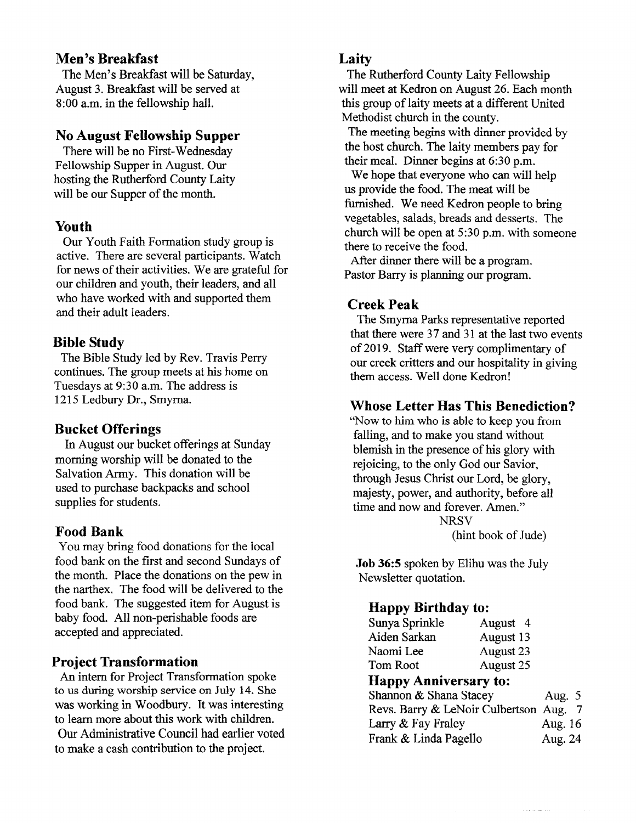# Men's Breakfast

The Men's Breakfast will be Saturday, August 3. Breakfast will be served at 8:00 a.m. in the fellowship hall.

#### No August Fellowship Supper

There will be no First-Wednesday Fellowship Supper in August. Our hosting the Rutherford County Laity will be our Supper of the month.

#### Youth

Our Youth Faith Formation study group is active. There are several participants. Watch for news of their activities. We are grateful for our children and youth, their leaders, and all who have worked with and supported them and their adult leaders.

# Bible Study

The Bible Study led by Rev. Travis Perry continues. The group meets at his home on Tuesdays at 9:30 a.m. The address is 1215 Ledbury Dr., Smyrna.

#### Bucket Offerings

In August our bucket offerings at Sunday morning worship will be donated to the Salvation Army. This donation will be used to purchase backpacks and school supplies for students.

#### Food Bank

You may bring food donations for the iocal food bank on the first and second Sundays of the month. Place the donations on the pew in the narthex. The food will be delivered to the food bank. The suggested item for August is baby food. All non-perishable foods are accepted and appreciated.

# **Project Transformation**

An intern for Project Transformation spoke to us during worship service on July 14. She was working in Woodbury. It was interesting to leam more about this work with children. Our Administrative Council had earlier voted to make a cash contribution to the project.

# Laity

The Rutherford County Laity Fellowship will meet at Kedron on August 26. Each month this group of laity meets at a different United Methodist church in the county.

The meeting begins with dinner provided by the host church. The laity members pay for their meal. Dinner begins at 6:30 p.m.

We hope that everyone who can will help us provide the food. The meat will be furnished. We need Kedron people to bring vegetables, salads, breads and desserts. The church will be open at 5:30 p.m. with someone there to receive the food.

After dinner there will be a program. Pastor Barry is planning our program.

# Creek Peak

The Smyrna Parks representative reported that there were 37 and 31 at the last two events of 2019. Staffwere very complimenkry of our creek critters and our hospitality in giving them access. Well done Kedron!

# Whose Letter Has This Benediction?

'Now to him who is able to keep you from falling, and to make you stand without blemish in the presence of his glory with rejoicing, to the only God our Savior, through Jesus Christ our Lord, be glory, majesty, power, and authority, before all time and now and forever. Amen." **NRSV** 

(hint book of Jude)

Job 36:5 spoken by Elihu was the July Newsletter quotation.

# Happy Birthday to:

| Sunya Sprinkle | August 4  |
|----------------|-----------|
| Aiden Sarkan   | August 13 |
| Naomi Lee      | August 23 |
| Tom Root       | August 25 |
|                |           |

#### Happy Anniversary to:

| $\mathbf{m}$                           |          |
|----------------------------------------|----------|
| Shannon & Shana Stacey                 | Aug. $5$ |
| Revs. Barry & LeNoir Culbertson Aug. 7 |          |
| Larry & Fay Fraley                     | Aug. 16  |
| Frank & Linda Pagello                  | Aug. 24  |